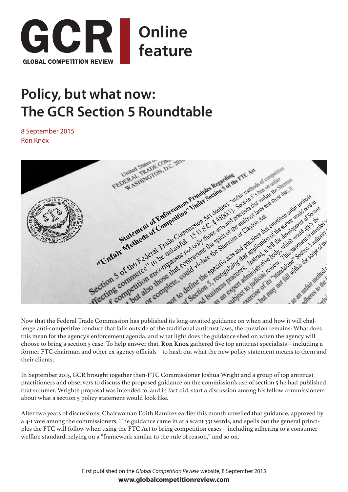

## **Policy, but what now: The GCR Section 5 Roundtable**

8 September 2015 Ron Knox



lenge anti-competitive conduct that falls outside of the traditional antitrust laws, the question remains: What does this mean for the agency's enforcement agenda, and what light does the guidance shed on when the agency will choose to bring a section 5 case. To help answer that, **Ron Knox** gathered five top antitrust specialists – including a former FTC chairman and other ex-agency officials – to hash out what the new policy statement means to them and their clients.

In September 2013, GCR brought together then-FTC Commissioner Joshua Wright and a group of top antitrust practitioners and observers to discuss the proposed guidance on the commission's use of section 5 he had published that summer. Wright's proposal was intended to, and in fact did, start a discussion among his fellow commissioners about what a section 5 policy statement would look like.

After two years of discussions, Chairwoman Edith Ramirez earlier this month unveiled that guidance, approved by a 4-1 vote among the commissioners. The guidance came in at a scant 331 words, and spells out the general principles the FTC will follow when using the FTC Act to bring competition cases – including adhering to a consumer welfare standard, relying on a "framework similar to the rule of reason," and so on.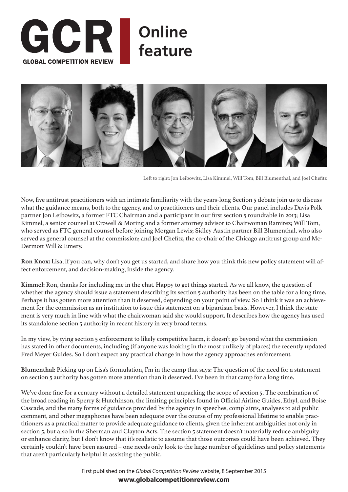



Left to right: Jon Leibowitz, Lisa Kimmel, Will Tom, Bill Blumenthal, and Joel Chefitz

Now, five antitrust practitioners with an intimate familiarity with the years-long Section 5 debate join us to discuss what the guidance means, both to the agency, and to practitioners and their clients. Our panel includes Davis Polk partner Jon Leibowitz, a former FTC Chairman and a participant in our first section 5 roundtable in 2013; Lisa Kimmel, a senior counsel at Crowell & Moring and a former attorney advisor to Chairwoman Ramirez; Will Tom, who served as FTC general counsel before joining Morgan Lewis; Sidley Austin partner Bill Blumenthal, who also served as general counsel at the commission; and Joel Chefitz, the co-chair of the Chicago antitrust group and Mc-Dermott Will & Emery.

**Ron Knox:** Lisa, if you can, why don't you get us started, and share how you think this new policy statement will affect enforcement, and decision-making, inside the agency.

**Kimmel:** Ron, thanks for including me in the chat. Happy to get things started. As we all know, the question of whether the agency should issue a statement describing its section 5 authority has been on the table for a long time. Perhaps it has gotten more attention than it deserved, depending on your point of view. So I think it was an achievement for the commission as an institution to issue this statement on a bipartisan basis. However, I think the statement is very much in line with what the chairwoman said she would support. It describes how the agency has used its standalone section 5 authority in recent history in very broad terms.

In my view, by tying section 5 enforcement to likely competitive harm, it doesn't go beyond what the commission has stated in other documents, including (if anyone was looking in the most unlikely of places) the recently updated Fred Meyer Guides. So I don't expect any practical change in how the agency approaches enforcement.

**Blumenthal:** Picking up on Lisa's formulation, I'm in the camp that says: The question of the need for a statement on section 5 authority has gotten more attention than it deserved. I've been in that camp for a long time.

We've done fine for a century without a detailed statement unpacking the scope of section 5. The combination of the broad reading in Sperry & Hutchinson, the limiting principles found in Official Airline Guides, Ethyl, and Boise Cascade, and the many forms of guidance provided by the agency in speeches, complaints, analyses to aid public comment, and other megaphones have been adequate over the course of my professional lifetime to enable practitioners as a practical matter to provide adequate guidance to clients, given the inherent ambiguities not only in section 5, but also in the Sherman and Clayton Acts. The section 5 statement doesn't materially reduce ambiguity or enhance clarity, but I don't know that it's realistic to assume that those outcomes could have been achieved. They certainly couldn't have been assured – one needs only look to the large number of guidelines and policy statements that aren't particularly helpful in assisting the public.

> First published on the *Global Competition Review* website, 8 September 2015 **[www.globalcompetitionreview.com](http://globalcompetitionreview.com/features/article/39433/policy-now-gcr-section-5-roundtable/)**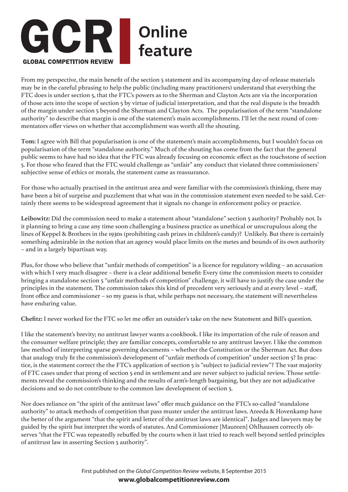

From my perspective, the main benefit of the section 5 statement and its accompanying day-of-release materials may be in the careful phrasing to help the public (including many practitioners) understand that everything the FTC does is under section 5, that the FTC's powers as to the Sherman and Clayton Acts are via the incorporation of those acts into the scope of section 5 by virtue of judicial interpretation, and that the real dispute is the breadth of the margin under section 5 beyond the Sherman and Clayton Acts. The popularisation of the term "standalone authority" to describe that margin is one of the statement's main accomplishments. I'll let the next round of commentators offer views on whether that accomplishment was worth all the shouting.

**Tom:** I agree with Bill that popularisation is one of the statement's main accomplishments, but I wouldn't focus on popularisation of the term "standalone authority." Much of the shouting has come from the fact that the general public seems to have had no idea that the FTC was already focusing on economic effect as the touchstone of section 5. For those who feared that the FTC would challenge as "unfair" any conduct that violated three commissioners' subjective sense of ethics or morals, the statement came as reassurance.

For those who actually practised in the antitrust area and were familiar with the commission's thinking, there may have been a bit of surprise and puzzlement that what was in the commission statement even needed to be said. Certainly there seems to be widespread agreement that it signals no change in enforcement policy or practice.

**Leibowitz:** Did the commission need to make a statement about "standalone" section 5 authority? Probably not. Is it planning to bring a case any time soon challenging a business practice as unethical or unscrupulous along the lines of Keppel & Brothers in the 1930s (prohibiting cash prizes in children's candy)? Unlikely. But there is certainly something admirable in the notion that an agency would place limits on the metes and bounds of its own authority – and in a largely bipartisan way.

Plus, for those who believe that "unfair methods of competition" is a licence for regulatory wilding – an accusation with which I very much disagree – there is a clear additional benefit: Every time the commission meets to consider bringing a standalone section 5 "unfair methods of competition" challenge, it will have to justify the case under the principles in the statement. The commission takes this kind of precedent very seriously and at every level – staff, front office and commissioner – so my guess is that, while perhaps not necessary, the statement will nevertheless have enduring value.

**Chefitz:** I never worked for the FTC so let me offer an outsider's take on the new Statement and Bill's question.

I like the statement's brevity; no antitrust lawyer wants a cookbook. I like its importation of the rule of reason and the consumer welfare principle; they are familiar concepts, comfortable to any antitrust lawyer. I like the common law method of interpreting sparse governing documents – whether the Constitution or the Sherman Act. But does that analogy truly fit the commission's development of "unfair methods of competition" under section 5? In practice, is the statement correct the the FTC's application of section 5 is "subject to judicial review"? The vast majority of FTC cases under that prong of section 5 end in settlement and are never subject to judicial review. Those settlements reveal the commission's thinking and the results of arm's-length bargaining, but they are not adjudicative decisions and so do not contribute to the common law development of section 5.

Nor does reliance on "the spirit of the antitrust laws" offer much guidance on the FTC's so-called "standalone authority" to attack methods of competition that pass muster under the antitrust laws. Areeda & Hovenkamp have the better of the argument "that the spirit and letter of the antitrust laws are identical". Judges and lawyers may be guided by the spirit but interpret the words of statutes. And Commissioner [Maureen] Ohlhausen correctly observes "that the FTC was repeatedly rebuffed by the courts when it last tried to reach well beyond settled principles of antitrust law in asserting Section 5 authority".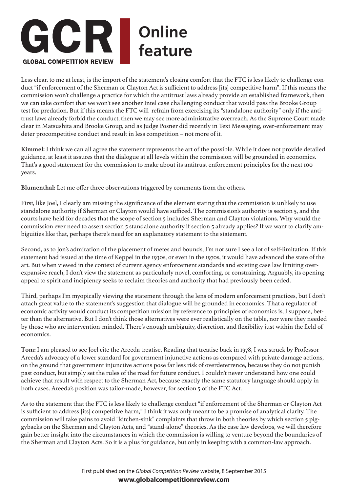

Less clear, to me at least, is the import of the statement's closing comfort that the FTC is less likely to challenge conduct "if enforcement of the Sherman or Clayton Act is sufficient to address [its] competitive harm". If this means the commission won't challenge a practice for which the antitrust laws already provide an established framework, then we can take comfort that we won't see another Intel case challenging conduct that would pass the Brooke Group test for predation. But if this means the FTC will refrain from exercising its "standalone authority" only if the antitrust laws already forbid the conduct, then we may see more administrative overreach. As the Supreme Court made clear in Matsushita and Brooke Group, and as Judge Posner did recently in Text Messaging, over-enforcement may deter procompetitive conduct and result in less competition – not more of it.

**Kimmel:** I think we can all agree the statement represents the art of the possible. While it does not provide detailed guidance, at least it assures that the dialogue at all levels within the commission will be grounded in economics. That's a good statement for the commission to make about its antitrust enforcement principles for the next 100 years.

**Blumenthal:** Let me offer three observations triggered by comments from the others.

First, like Joel, I clearly am missing the significance of the element stating that the commission is unlikely to use standalone authority if Sherman or Clayton would have sufficed. The commission's authority is section 5, and the courts have held for decades that the scope of section 5 includes Sherman and Clayton violations. Why would the commission ever need to assert section 5 standalone authority if section 5 already applies? If we want to clarify ambiguities like that, perhaps there's need for an explanatory statement to the statement.

Second, as to Jon's admiration of the placement of metes and bounds, I'm not sure I see a lot of self-limitation. If this statement had issued at the time of Keppel in the 1930s, or even in the 1970s, it would have advanced the state of the art. But when viewed in the context of current agency enforcement standards and existing case law limiting overexpansive reach, I don't view the statement as particularly novel, comforting, or constraining. Arguably, its opening appeal to spirit and incipiency seeks to reclaim theories and authority that had previously been ceded.

Third, perhaps I'm myopically viewing the statement through the lens of modern enforcement practices, but I don't attach great value to the statement's suggestion that dialogue will be grounded in economics. That a regulator of economic activity would conduct its competition mission by reference to principles of economics is, I suppose, better than the alternative. But I don't think those alternatives were ever realistically on the table, nor were they needed by those who are intervention-minded. There's enough ambiguity, discretion, and flexibility just within the field of economics.

**Tom:** I am pleased to see Joel cite the Areeda treatise. Reading that treatise back in 1978, I was struck by Professor Areeda's advocacy of a lower standard for government injunctive actions as compared with private damage actions, on the ground that government injunctive actions pose far less risk of overdeterrence, because they do not punish past conduct, but simply set the rules of the road for future conduct. I couldn't never understand how one could achieve that result with respect to the Sherman Act, because exactly the same statutory language should apply in both cases. Areeda's position was tailor-made, however, for section 5 of the FTC Act.

As to the statement that the FTC is less likely to challenge conduct "if enforcement of the Sherman or Clayton Act is sufficient to address [its] competitive harm," I think it was only meant to be a promise of analytical clarity. The commission will take pains to avoid "kitchen-sink" complaints that throw in both theories by which section 5 piggybacks on the Sherman and Clayton Acts, and "stand-alone" theories. As the case law develops, we will therefore gain better insight into the circumstances in which the commission is willing to venture beyond the boundaries of the Sherman and Clayton Acts. So it is a plus for guidance, but only in keeping with a common-law approach.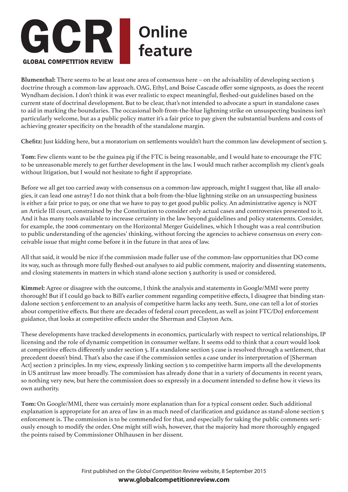

**Blumenthal:** There seems to be at least one area of consensus here – on the advisability of developing section 5 doctrine through a common-law approach. OAG, Ethyl, and Boise Cascade offer some signposts, as does the recent Wyndham decision. I don't think it was ever realistic to expect meaningful, fleshed-out guidelines based on the current state of doctrinal development. But to be clear, that's not intended to advocate a spurt in standalone cases to aid in marking the boundaries. The occasional bolt-from-the-blue lightning strike on unsuspecting business isn't particularly welcome, but as a public policy matter it's a fair price to pay given the substantial burdens and costs of achieving greater specificity on the breadth of the standalone margin.

**Chefitz:** Just kidding here, but a moratorium on settlements wouldn't hurt the common law development of section 5.

**Tom:** Few clients want to be the guinea pig if the FTC is being reasonable, and I would hate to encourage the FTC to be unreasonable merely to get further development in the law. I would much rather accomplish my client's goals without litigation, but I would not hesitate to fight if appropriate.

Before we all get too carried away with consensus on a common-law approach, might I suggest that, like all analogies, it can lead one astray? I do not think that a bolt-from-the-blue lightning strike on an unsuspecting business is either a fair price to pay, or one that we have to pay to get good public policy. An administrative agency is NOT an Article III court, constrained by the Constitution to consider only actual cases and controversies presented to it. And it has many tools available to increase certainty in the law beyond guidelines and policy statements. Consider, for example, the 2006 commentary on the Horizontal Merger Guidelines, which I thought was a real contribution to public understanding of the agencies' thinking, without forcing the agencies to achieve consensus on every conceivable issue that might come before it in the future in that area of law.

All that said, it would be nice if the commission made fuller use of the common-law opportunities that DO come its way, such as through more fully fleshed-out analyses to aid public comment, majority and dissenting statements, and closing statements in matters in which stand-alone section 5 authority is used or considered.

**Kimmel:** Agree or disagree with the outcome, I think the analysis and statements in Google/MMI were pretty thorough! But if I could go back to Bill's earlier comment regarding competitive effects, I disagree that binding standalone section 5 enforcement to an analysis of competitive harm lacks any teeth. Sure, one can tell a lot of stories about competitive effects. But there are decades of federal court precedent, as well as joint FTC/DoJ enforcement guidance, that looks at competitive effects under the Sherman and Clayton Acts.

These developments have tracked developments in economics, particularly with respect to vertical relationships, IP licensing and the role of dynamic competition in consumer welfare. It seems odd to think that a court would look at competitive effects differently under section 5. If a standalone section 5 case is resolved through a settlement, that precedent doesn't bind. That's also the case if the commission settles a case under its interpretation of [Sherman Act] section 2 principles. In my view, expressly linking section 5 to competitive harm imports all the developments in US antitrust law more broadly. The commission has already done that in a variety of documents in recent years, so nothing very new, but here the commission does so expressly in a document intended to define how it views its own authority.

**Tom:** On Google/MMI, there was certainly more explanation than for a typical consent order. Such additional explanation is appropriate for an area of law in as much need of clarification and guidance as stand-alone section 5 enforcement is. The commission is to be commended for that, and especially for taking the public comments seriously enough to modify the order. One might still wish, however, that the majority had more thoroughly engaged the points raised by Commissioner Ohlhausen in her dissent.